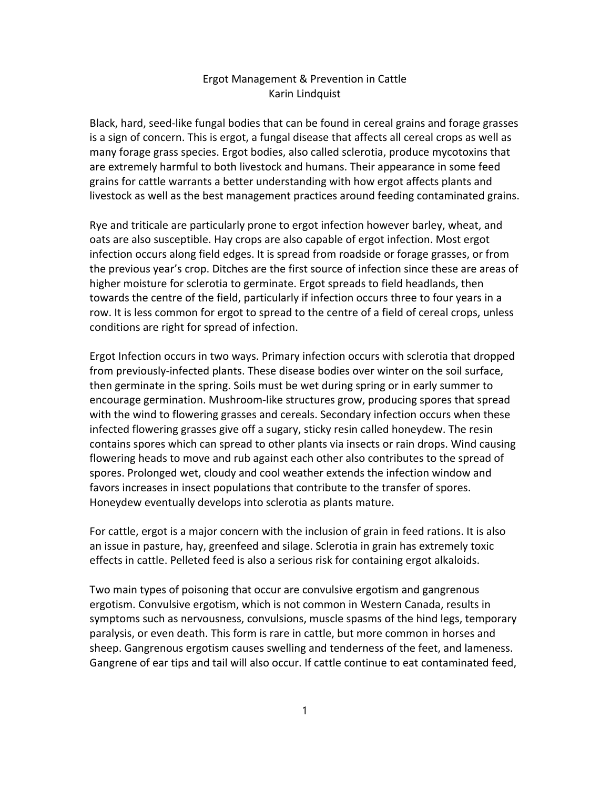## Ergot Management & Prevention in Cattle Karin Lindquist

Black, hard, seed‐like fungal bodies that can be found in cereal grains and forage grasses is a sign of concern. This is ergot, a fungal disease that affects all cereal crops as well as many forage grass species. Ergot bodies, also called sclerotia, produce mycotoxins that are extremely harmful to both livestock and humans. Their appearance in some feed grains for cattle warrants a better understanding with how ergot affects plants and livestock as well as the best management practices around feeding contaminated grains.

Rye and triticale are particularly prone to ergot infection however barley, wheat, and oats are also susceptible. Hay crops are also capable of ergot infection. Most ergot infection occurs along field edges. It is spread from roadside or forage grasses, or from the previous year's crop. Ditches are the first source of infection since these are areas of higher moisture for sclerotia to germinate. Ergot spreads to field headlands, then towards the centre of the field, particularly if infection occurs three to four years in a row. It is less common for ergot to spread to the centre of a field of cereal crops, unless conditions are right for spread of infection.

Ergot Infection occurs in two ways. Primary infection occurs with sclerotia that dropped from previously‐infected plants. These disease bodies over winter on the soil surface, then germinate in the spring. Soils must be wet during spring or in early summer to encourage germination. Mushroom‐like structures grow, producing spores that spread with the wind to flowering grasses and cereals. Secondary infection occurs when these infected flowering grasses give off a sugary, sticky resin called honeydew. The resin contains spores which can spread to other plants via insects or rain drops. Wind causing flowering heads to move and rub against each other also contributes to the spread of spores. Prolonged wet, cloudy and cool weather extends the infection window and favors increases in insect populations that contribute to the transfer of spores. Honeydew eventually develops into sclerotia as plants mature.

For cattle, ergot is a major concern with the inclusion of grain in feed rations. It is also an issue in pasture, hay, greenfeed and silage. Sclerotia in grain has extremely toxic effects in cattle. Pelleted feed is also a serious risk for containing ergot alkaloids.

Two main types of poisoning that occur are convulsive ergotism and gangrenous ergotism. Convulsive ergotism, which is not common in Western Canada, results in symptoms such as nervousness, convulsions, muscle spasms of the hind legs, temporary paralysis, or even death. This form is rare in cattle, but more common in horses and sheep. Gangrenous ergotism causes swelling and tenderness of the feet, and lameness. Gangrene of ear tips and tail will also occur. If cattle continue to eat contaminated feed,